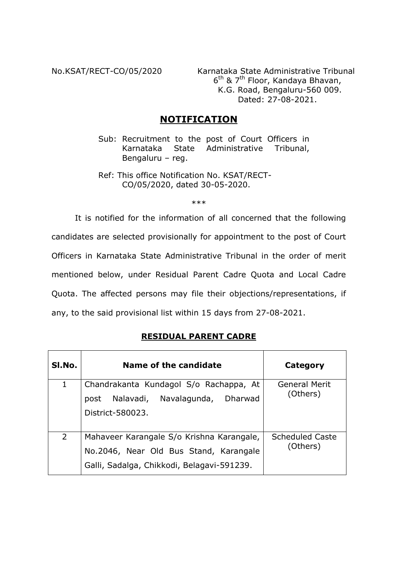No.KSAT/RECT-CO/05/2020 Karnataka State Administrative Tribunal 6th & 7th Floor, Kandaya Bhavan, K.G. Road, Bengaluru-560 009. Dated: 27-08-2021.

# **NOTIFICATION**

- Sub: Recruitment to the post of Court Officers in Karnataka State Administrative Tribunal, Bengaluru – reg.
- Ref: This office Notification No. KSAT/RECT-CO/05/2020, dated 30-05-2020.

\*\*\*

It is notified for the information of all concerned that the following candidates are selected provisionally for appointment to the post of Court Officers in Karnataka State Administrative Tribunal in the order of merit mentioned below, under Residual Parent Cadre Quota and Local Cadre Quota. The affected persons may file their objections/representations, if any, to the said provisional list within 15 days from 27-08-2021.

## **RESIDUAL PARENT CADRE**

| SI.No.      | Name of the candidate                                                                                                             | Category                           |
|-------------|-----------------------------------------------------------------------------------------------------------------------------------|------------------------------------|
| $\mathbf 1$ | Chandrakanta Kundagol S/o Rachappa, At<br>Nalavadi, Navalagunda,<br>Dharwad<br>post<br>District-580023.                           | General Merit<br>(Others)          |
| 2           | Mahaveer Karangale S/o Krishna Karangale,<br>No.2046, Near Old Bus Stand, Karangale<br>Galli, Sadalga, Chikkodi, Belagavi-591239. | <b>Scheduled Caste</b><br>(Others) |